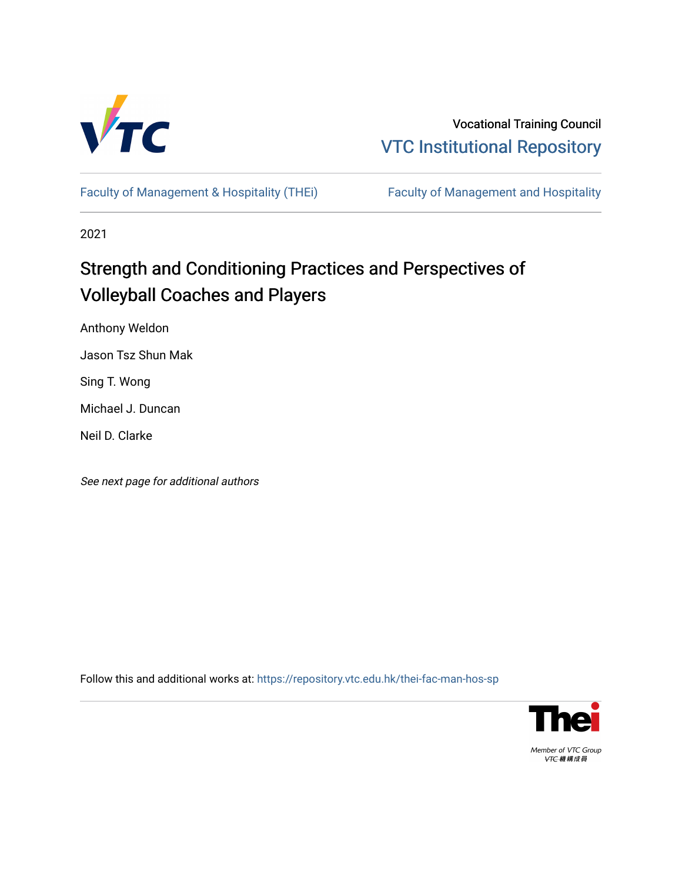

Vocational Training Council [VTC Institutional Repository](https://repository.vtc.edu.hk/) 

[Faculty of Management & Hospitality \(THEi\)](https://repository.vtc.edu.hk/thei-fac-man-hos-sp) Faculty of Management and Hospitality

2021

# Strength and Conditioning Practices and Perspectives of Volleyball Coaches and Players

Anthony Weldon

Jason Tsz Shun Mak

Sing T. Wong

Michael J. Duncan

Neil D. Clarke

See next page for additional authors

Follow this and additional works at: [https://repository.vtc.edu.hk/thei-fac-man-hos-sp](https://repository.vtc.edu.hk/thei-fac-man-hos-sp?utm_source=repository.vtc.edu.hk%2Fthei-fac-man-hos-sp%2F176&utm_medium=PDF&utm_campaign=PDFCoverPages)



Member of VTC Group VTC機構成員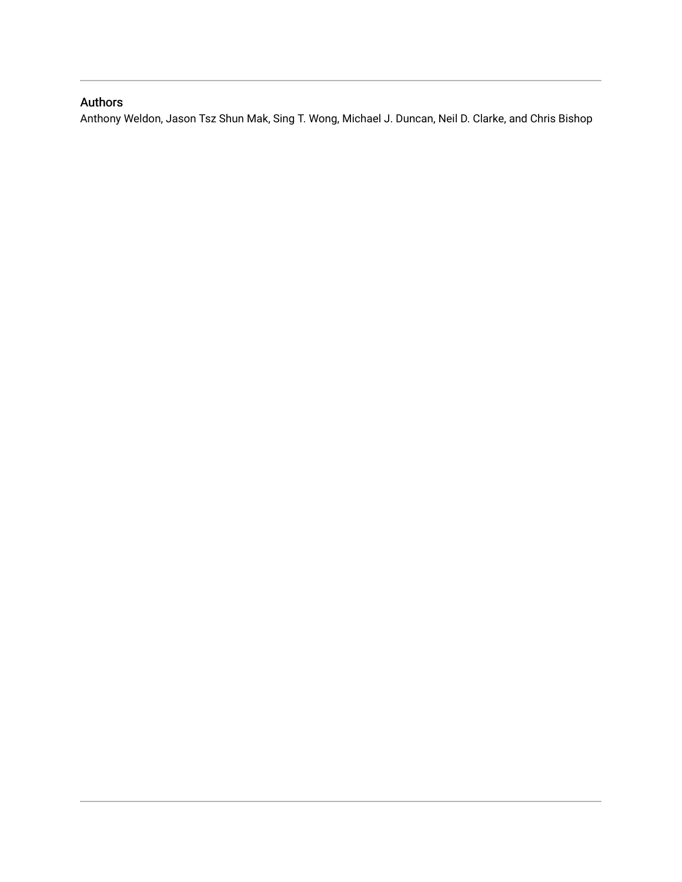## Authors

Anthony Weldon, Jason Tsz Shun Mak, Sing T. Wong, Michael J. Duncan, Neil D. Clarke, and Chris Bishop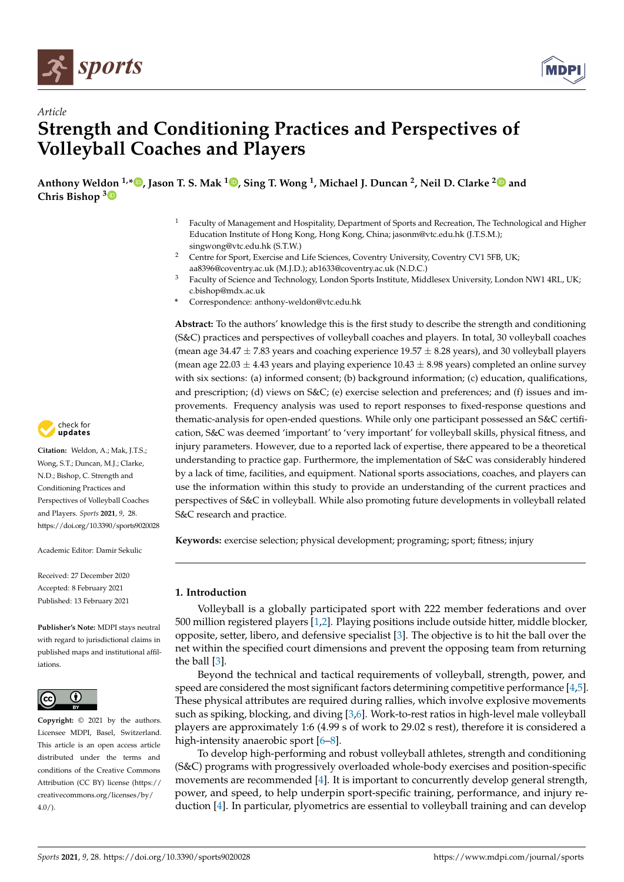



## *Article* **Strength and Conditioning Practices and Perspectives of Volleyball Coaches and Players**

**Anthony Weldon 1,[\\*](https://orcid.org/0000-0001-5762-332X) , Jason T. S. Mak [1](https://orcid.org/0000-0002-8780-6626) , Sing T. Wong <sup>1</sup> , Michael J. Duncan <sup>2</sup> , Neil D. Clarke [2](https://orcid.org/0000-0002-1909-329X) and Chris Bishop [3](https://orcid.org/0000-0002-1505-1287)**

- <sup>1</sup> Faculty of Management and Hospitality, Department of Sports and Recreation, The Technological and Higher Education Institute of Hong Kong, Hong Kong, China; jasonm@vtc.edu.hk (J.T.S.M.); singwong@vtc.edu.hk (S.T.W.)
- <sup>2</sup> Centre for Sport, Exercise and Life Sciences, Coventry University, Coventry CV1 5FB, UK; aa8396@coventry.ac.uk (M.J.D.); ab1633@coventry.ac.uk (N.D.C.)
- <sup>3</sup> Faculty of Science and Technology, London Sports Institute, Middlesex University, London NW1 4RL, UK; c.bishop@mdx.ac.uk
- **\*** Correspondence: anthony-weldon@vtc.edu.hk

**Abstract:** To the authors' knowledge this is the first study to describe the strength and conditioning (S&C) practices and perspectives of volleyball coaches and players. In total, 30 volleyball coaches (mean age 34.47  $\pm$  7.83 years and coaching experience 19.57  $\pm$  8.28 years), and 30 volleyball players (mean age 22.03  $\pm$  4.43 years and playing experience 10.43  $\pm$  8.98 years) completed an online survey with six sections: (a) informed consent; (b) background information; (c) education, qualifications, and prescription; (d) views on S&C; (e) exercise selection and preferences; and (f) issues and improvements. Frequency analysis was used to report responses to fixed-response questions and thematic-analysis for open-ended questions. While only one participant possessed an S&C certification, S&C was deemed 'important' to 'very important' for volleyball skills, physical fitness, and injury parameters. However, due to a reported lack of expertise, there appeared to be a theoretical understanding to practice gap. Furthermore, the implementation of S&C was considerably hindered by a lack of time, facilities, and equipment. National sports associations, coaches, and players can use the information within this study to provide an understanding of the current practices and perspectives of S&C in volleyball. While also promoting future developments in volleyball related S&C research and practice.

**Keywords:** exercise selection; physical development; programing; sport; fitness; injury

## **1. Introduction**

Volleyball is a globally participated sport with 222 member federations and over 500 million registered players [\[1,](#page-17-0)[2\]](#page-17-1). Playing positions include outside hitter, middle blocker, opposite, setter, libero, and defensive specialist [\[3\]](#page-17-2). The objective is to hit the ball over the net within the specified court dimensions and prevent the opposing team from returning the ball [\[3\]](#page-17-2).

Beyond the technical and tactical requirements of volleyball, strength, power, and speed are considered the most significant factors determining competitive performance [\[4,](#page-17-3)[5\]](#page-17-4). These physical attributes are required during rallies, which involve explosive movements such as spiking, blocking, and diving [\[3,](#page-17-2)[6\]](#page-17-5). Work-to-rest ratios in high-level male volleyball players are approximately 1:6 (4.99 s of work to 29.02 s rest), therefore it is considered a high-intensity anaerobic sport  $[6-8]$  $[6-8]$ .

To develop high-performing and robust volleyball athletes, strength and conditioning (S&C) programs with progressively overloaded whole-body exercises and position-specific movements are recommended [\[4\]](#page-17-3). It is important to concurrently develop general strength, power, and speed, to help underpin sport-specific training, performance, and injury reduction [\[4\]](#page-17-3). In particular, plyometrics are essential to volleyball training and can develop



**Citation:** Weldon, A.; Mak, J.T.S.; Wong, S.T.; Duncan, M.J.; Clarke, N.D.; Bishop, C. Strength and Conditioning Practices and Perspectives of Volleyball Coaches and Players. *Sports* **2021**, *9*, 28. <https://doi.org/10.3390/sports9020028>

Academic Editor: Damir Sekulic

Received: 27 December 2020 Accepted: 8 February 2021 Published: 13 February 2021

**Publisher's Note:** MDPI stays neutral with regard to jurisdictional claims in published maps and institutional affiliations.



**Copyright:** © 2021 by the authors. Licensee MDPI, Basel, Switzerland. This article is an open access article distributed under the terms and conditions of the Creative Commons Attribution (CC BY) license (https:/[/](https://creativecommons.org/licenses/by/4.0/) [creativecommons.org/licenses/by/](https://creativecommons.org/licenses/by/4.0/)  $4.0/$ ).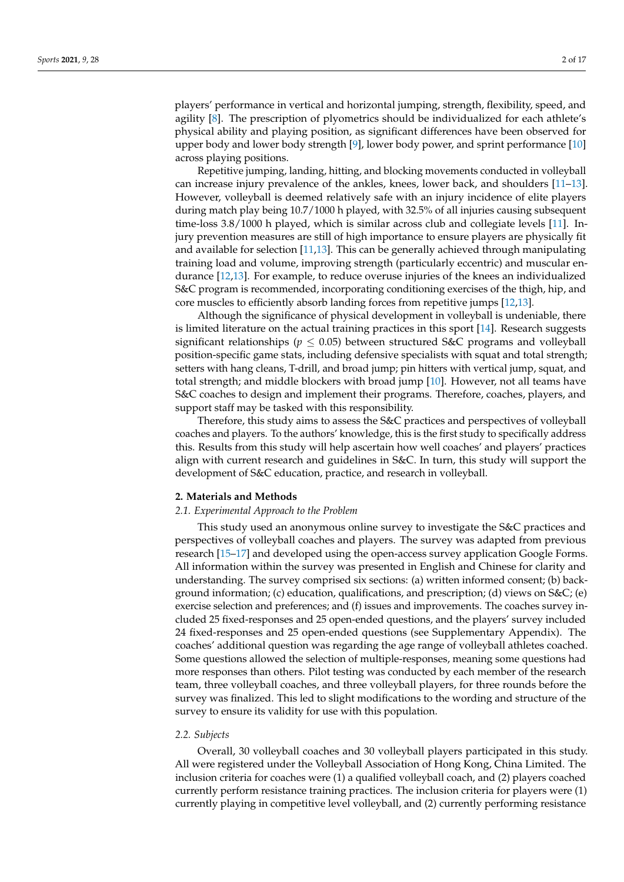players' performance in vertical and horizontal jumping, strength, flexibility, speed, and agility [\[8\]](#page-17-6). The prescription of plyometrics should be individualized for each athlete's physical ability and playing position, as significant differences have been observed for upper body and lower body strength [\[9\]](#page-17-7), lower body power, and sprint performance [\[10\]](#page-17-8) across playing positions.

Repetitive jumping, landing, hitting, and blocking movements conducted in volleyball can increase injury prevalence of the ankles, knees, lower back, and shoulders [\[11](#page-17-9)[–13\]](#page-17-10). However, volleyball is deemed relatively safe with an injury incidence of elite players during match play being 10.7/1000 h played, with 32.5% of all injuries causing subsequent time-loss 3.8/1000 h played, which is similar across club and collegiate levels [\[11\]](#page-17-9). Injury prevention measures are still of high importance to ensure players are physically fit and available for selection [\[11,](#page-17-9)[13\]](#page-17-10). This can be generally achieved through manipulating training load and volume, improving strength (particularly eccentric) and muscular endurance [\[12,](#page-17-11)[13\]](#page-17-10). For example, to reduce overuse injuries of the knees an individualized S&C program is recommended, incorporating conditioning exercises of the thigh, hip, and core muscles to efficiently absorb landing forces from repetitive jumps [\[12,](#page-17-11)[13\]](#page-17-10).

Although the significance of physical development in volleyball is undeniable, there is limited literature on the actual training practices in this sport [\[14\]](#page-17-12). Research suggests significant relationships ( $p \leq 0.05$ ) between structured S&C programs and volleyball position-specific game stats, including defensive specialists with squat and total strength; setters with hang cleans, T-drill, and broad jump; pin hitters with vertical jump, squat, and total strength; and middle blockers with broad jump [\[10\]](#page-17-8). However, not all teams have S&C coaches to design and implement their programs. Therefore, coaches, players, and support staff may be tasked with this responsibility.

Therefore, this study aims to assess the S&C practices and perspectives of volleyball coaches and players. To the authors' knowledge, this is the first study to specifically address this. Results from this study will help ascertain how well coaches' and players' practices align with current research and guidelines in S&C. In turn, this study will support the development of S&C education, practice, and research in volleyball.

## **2. Materials and Methods**

### *2.1. Experimental Approach to the Problem*

This study used an anonymous online survey to investigate the S&C practices and perspectives of volleyball coaches and players. The survey was adapted from previous research [\[15](#page-17-13)[–17\]](#page-18-0) and developed using the open-access survey application Google Forms. All information within the survey was presented in English and Chinese for clarity and understanding. The survey comprised six sections: (a) written informed consent; (b) background information; (c) education, qualifications, and prescription; (d) views on  $S\&C$ ; (e) exercise selection and preferences; and (f) issues and improvements. The coaches survey included 25 fixed-responses and 25 open-ended questions, and the players' survey included 24 fixed-responses and 25 open-ended questions (see Supplementary Appendix). The coaches' additional question was regarding the age range of volleyball athletes coached. Some questions allowed the selection of multiple-responses, meaning some questions had more responses than others. Pilot testing was conducted by each member of the research team, three volleyball coaches, and three volleyball players, for three rounds before the survey was finalized. This led to slight modifications to the wording and structure of the survey to ensure its validity for use with this population.

#### *2.2. Subjects*

Overall, 30 volleyball coaches and 30 volleyball players participated in this study. All were registered under the Volleyball Association of Hong Kong, China Limited. The inclusion criteria for coaches were (1) a qualified volleyball coach, and (2) players coached currently perform resistance training practices. The inclusion criteria for players were (1) currently playing in competitive level volleyball, and (2) currently performing resistance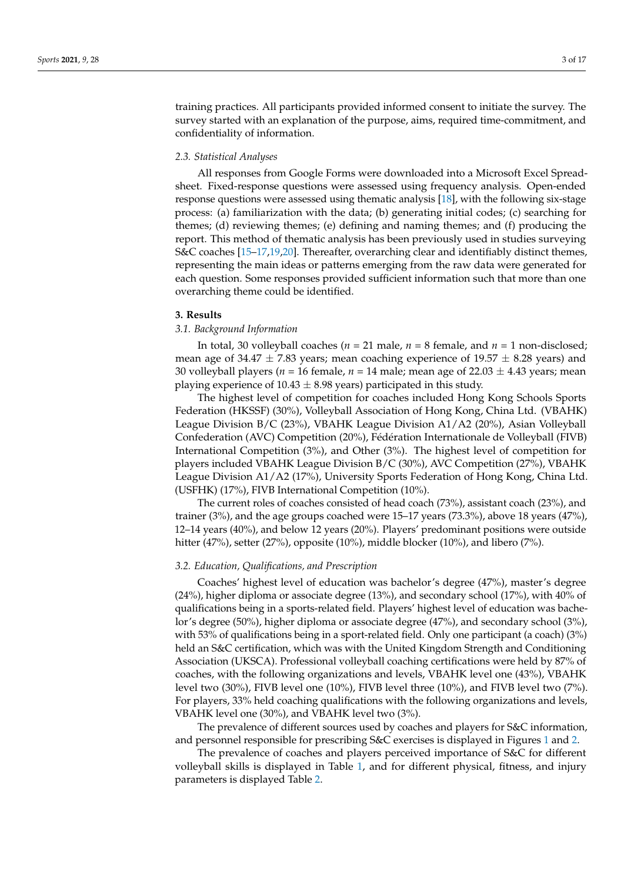training practices. All participants provided informed consent to initiate the survey. The survey started with an explanation of the purpose, aims, required time-commitment, and confidentiality of information.

#### *2.3. Statistical Analyses*

All responses from Google Forms were downloaded into a Microsoft Excel Spreadsheet. Fixed-response questions were assessed using frequency analysis. Open-ended response questions were assessed using thematic analysis [\[18\]](#page-18-1), with the following six-stage process: (a) familiarization with the data; (b) generating initial codes; (c) searching for themes; (d) reviewing themes; (e) defining and naming themes; and (f) producing the report. This method of thematic analysis has been previously used in studies surveying S&C coaches [\[15–](#page-17-13)[17](#page-18-0)[,19](#page-18-2)[,20\]](#page-18-3). Thereafter, overarching clear and identifiably distinct themes, representing the main ideas or patterns emerging from the raw data were generated for each question. Some responses provided sufficient information such that more than one overarching theme could be identified.

## **3. Results**

## *3.1. Background Information*

In total, 30 volleyball coaches ( $n = 21$  male,  $n = 8$  female, and  $n = 1$  non-disclosed; mean age of 34.47  $\pm$  7.83 years; mean coaching experience of 19.57  $\pm$  8.28 years) and 30 volleyball players ( $n = 16$  female,  $n = 14$  male; mean age of 22.03  $\pm$  4.43 years; mean playing experience of  $10.43 \pm 8.98$  years) participated in this study.

The highest level of competition for coaches included Hong Kong Schools Sports Federation (HKSSF) (30%), Volleyball Association of Hong Kong, China Ltd. (VBAHK) League Division B/C (23%), VBAHK League Division A1/A2 (20%), Asian Volleyball Confederation (AVC) Competition (20%), Fédération Internationale de Volleyball (FIVB) International Competition (3%), and Other (3%). The highest level of competition for players included VBAHK League Division B/C (30%), AVC Competition (27%), VBAHK League Division A1/A2 (17%), University Sports Federation of Hong Kong, China Ltd. (USFHK) (17%), FIVB International Competition (10%).

The current roles of coaches consisted of head coach (73%), assistant coach (23%), and trainer (3%), and the age groups coached were 15–17 years (73.3%), above 18 years (47%), 12–14 years (40%), and below 12 years (20%). Players' predominant positions were outside hitter (47%), setter (27%), opposite (10%), middle blocker (10%), and libero (7%).

#### *3.2. Education, Qualifications, and Prescription*

Coaches' highest level of education was bachelor's degree (47%), master's degree (24%), higher diploma or associate degree (13%), and secondary school (17%), with 40% of qualifications being in a sports-related field. Players' highest level of education was bachelor's degree (50%), higher diploma or associate degree (47%), and secondary school (3%), with 53% of qualifications being in a sport-related field. Only one participant (a coach) (3%) held an S&C certification, which was with the United Kingdom Strength and Conditioning Association (UKSCA). Professional volleyball coaching certifications were held by 87% of coaches, with the following organizations and levels, VBAHK level one (43%), VBAHK level two (30%), FIVB level one (10%), FIVB level three (10%), and FIVB level two (7%). For players, 33% held coaching qualifications with the following organizations and levels, VBAHK level one (30%), and VBAHK level two (3%).

The prevalence of different sources used by coaches and players for S&C information, and personnel responsible for prescribing S&C exercises is displayed in Figures [1](#page-5-0) and [2.](#page-5-1)

The prevalence of coaches and players perceived importance of S&C for different volleyball skills is displayed in Table [1,](#page-6-0) and for different physical, fitness, and injury parameters is displayed Table [2.](#page-6-1)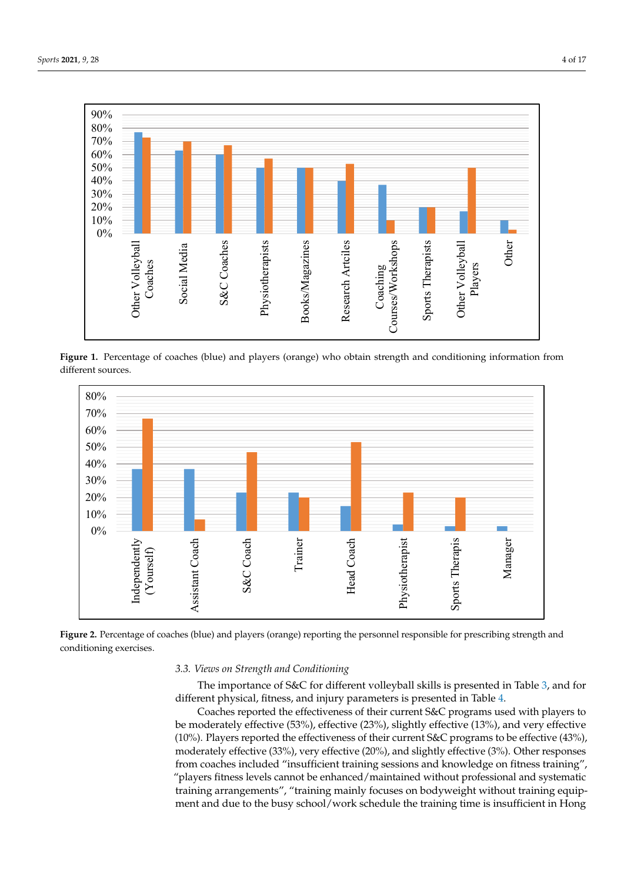<span id="page-5-0"></span>

volleyball skills is displayed in Table 1, and for different physical, fitness, and injury pa-

Figure 1. Percentage of coaches (blue) and players (orange) who obtain strength and conditioning information from ferent sources. different sources. ferent sources.

<span id="page-5-1"></span>

Figure 2. Percentage of coaches (blue) and players (orange) reporting the personnel responsible for prescribing strength and and conditioning exercises. conditioning exercises.

#### **Table 1.** The importance of strength and conditioning training for volleyball skills reported by coaches and players. **Table 1.** The importance of strength and conditioning training for volleyball skills reported by coaches and players. *3.3. Views on Strength and Conditioning*

The importance of S&C for different volleyball skills is presented in Table [3,](#page-8-0) and for different physical, fitness, and injury parameters is presented in Table [4.](#page-11-0)

Coaches reported the effectiveness of their current S&C programs used with players to be moderately effective (53%), effective (23%), slightly effective (13%), and very effective (10%). Players reported the effectiveness of their current S&C programs to be effective (43%), moderately effective (33%), very effective (20%), and slightly effective (3%). Other responses from coaches included "insufficient training sessions and knowledge on fitness training", "players fitness levels cannot be enhanced/maintained without professional and systematic training arrangements", "training mainly focuses on bodyweight without training equipment and due to the busy school/work schedule the training time is insufficient in Hong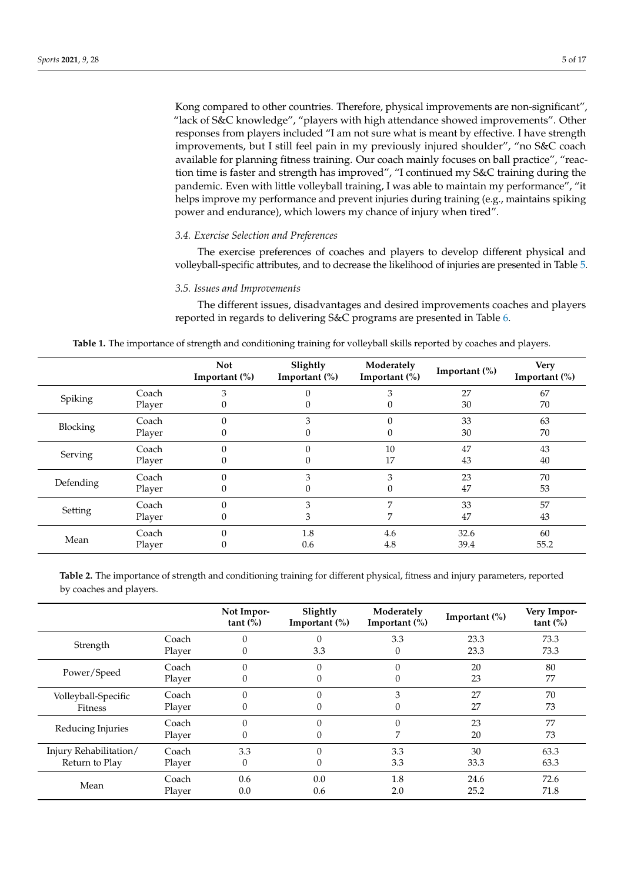Kong compared to other countries. Therefore, physical improvements are non-significant", "lack of S&C knowledge", "players with high attendance showed improvements". Other responses from players included "I am not sure what is meant by effective. I have strength improvements, but I still feel pain in my previously injured shoulder", "no S&C coach available for planning fitness training. Our coach mainly focuses on ball practice", "reaction time is faster and strength has improved", "I continued my S&C training during the pandemic. Even with little volleyball training, I was able to maintain my performance", "it helps improve my performance and prevent injuries during training (e.g., maintains spiking power and endurance), which lowers my chance of injury when tired".

## *3.4. Exercise Selection and Preferences*

The exercise preferences of coaches and players to develop different physical and volleyball-specific attributes, and to decrease the likelihood of injuries are presented in Table [5.](#page-13-0)

## *3.5. Issues and Improvements*

The different issues, disadvantages and desired improvements coaches and players reported in regards to delivering S&C programs are presented in Table [6.](#page-14-0)

<span id="page-6-0"></span>

|                 |        | <b>Not</b><br>Important $(\%)$ | Slightly<br>Important $(\%)$ | Moderately<br>Important $(\%)$ | Important $(\% )$ | <b>Very</b><br>Important (%) |
|-----------------|--------|--------------------------------|------------------------------|--------------------------------|-------------------|------------------------------|
| Spiking         | Coach  | 3                              |                              |                                | 27                | 67                           |
|                 | Player |                                |                              |                                | 30                | 70                           |
|                 | Coach  |                                |                              |                                | 33                | 63                           |
| <b>Blocking</b> | Player |                                |                              |                                | 30                | 70                           |
|                 | Coach  |                                |                              | 10                             | 47                | 43                           |
| Serving         | Player | 0                              |                              | 17                             | 43                | 40                           |
|                 | Coach  |                                | 3                            | 3                              | 23                | 70                           |
| Defending       | Player |                                |                              |                                | 47                | 53                           |
|                 | Coach  |                                | 3                            | 7                              | 33                | 57                           |
| Setting         | Player |                                | З                            |                                | 47                | 43                           |
|                 | Coach  |                                | 1.8                          | 4.6                            | 32.6              | 60                           |
| Mean            | Player |                                | 0.6                          | 4.8                            | 39.4              | 55.2                         |

| Table 1. The importance of strength and conditioning training for volleyball skills reported by coaches and players |  |  |  |
|---------------------------------------------------------------------------------------------------------------------|--|--|--|
|                                                                                                                     |  |  |  |

<span id="page-6-1"></span>**Table 2.** The importance of strength and conditioning training for different physical, fitness and injury parameters, reported by coaches and players.

|                        |        | Not Impor-<br>tant $(\%)$ | Slightly<br>Important $(\%)$ | Moderately<br>Important $(\% )$ | Important $(\% )$ | Very Impor-<br>tant (%) |
|------------------------|--------|---------------------------|------------------------------|---------------------------------|-------------------|-------------------------|
|                        | Coach  | $\theta$                  | $\Omega$                     | 3.3                             | 23.3              | 73.3                    |
| Strength               | Player | $\boldsymbol{0}$          | 3.3                          | 0                               | 23.3              | 73.3                    |
|                        | Coach  | $\Omega$                  | $\theta$                     | 0                               | 20                | 80                      |
| Power/Speed            | Player | 0                         | 0                            |                                 | 23                | 77                      |
| Volleyball-Specific    | Coach  | $\theta$                  | $\Omega$                     | 3                               | 27                | 70                      |
| Fitness                | Player | $\theta$                  | $\Omega$                     | 0                               | 27                | 73                      |
|                        | Coach  | $\theta$                  | $\theta$                     | 0                               | 23                | 77                      |
| Reducing Injuries      | Player | $\boldsymbol{0}$          | 0                            |                                 | 20                | 73                      |
| Injury Rehabilitation/ | Coach  | 3.3                       | $\theta$                     | 3.3                             | 30                | 63.3                    |
| Return to Play         | Player | $\mathbf{0}$              | 0                            | 3.3                             | 33.3              | 63.3                    |
|                        | Coach  | 0.6                       | 0.0                          | 1.8                             | 24.6              | 72.6                    |
| Mean                   | Player | 0.0                       | 0.6                          | 2.0                             | 25.2              | 71.8                    |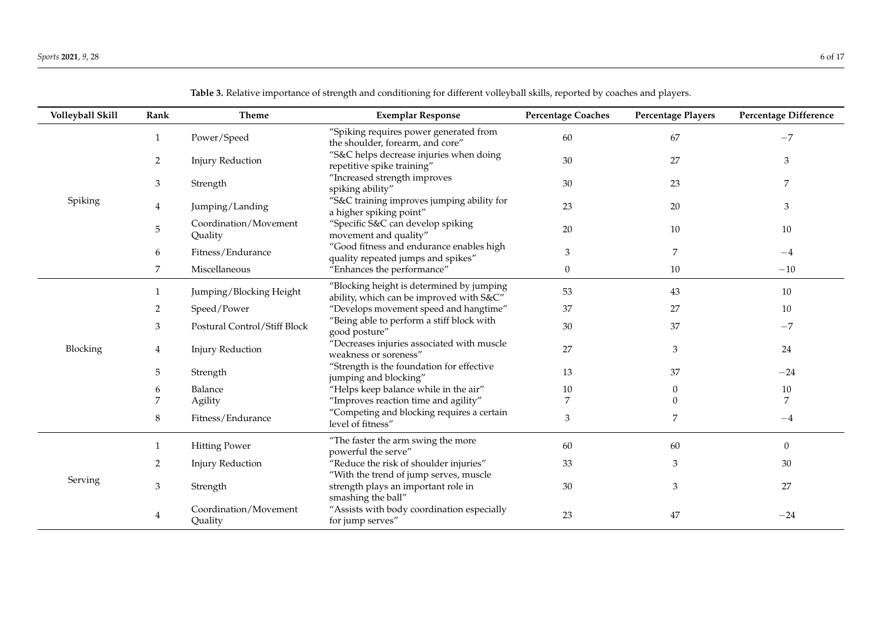| Volleyball Skill | Rank           | Theme                            | <b>Exemplar Response</b>                                                              | <b>Percentage Coaches</b> | <b>Percentage Players</b> | <b>Percentage Difference</b> |
|------------------|----------------|----------------------------------|---------------------------------------------------------------------------------------|---------------------------|---------------------------|------------------------------|
|                  | 1              | Power/Speed                      | "Spiking requires power generated from<br>the shoulder, forearm, and core"            | 60                        | 67                        | $-7$                         |
|                  | $\overline{2}$ | <b>Injury Reduction</b>          | "S&C helps decrease injuries when doing<br>repetitive spike training"                 | 30                        | 27                        | $\mathfrak{Z}$               |
|                  | 3              | Strength                         | "Increased strength improves<br>spiking ability"                                      | 30                        | 23                        | 7                            |
| Spiking          | 4              | Jumping/Landing                  | "S&C training improves jumping ability for<br>a higher spiking point"                 | 23                        | 20                        | 3                            |
|                  | 5              | Coordination/Movement<br>Quality | "Specific S&C can develop spiking<br>movement and quality"                            | 20                        | 10                        | 10                           |
|                  | 6              | Fitness/Endurance                | "Good fitness and endurance enables high<br>quality repeated jumps and spikes"        | 3                         | 7                         | $-4$                         |
|                  | 7              | Miscellaneous                    | "Enhances the performance"                                                            | 0                         | 10                        | $-10$                        |
|                  | 1              | Jumping/Blocking Height          | "Blocking height is determined by jumping<br>ability, which can be improved with S&C" | 53                        | 43                        | 10                           |
|                  | 2              | Speed/Power                      | "Develops movement speed and hangtime"                                                | 37                        | 27                        | 10                           |
|                  | 3              | Postural Control/Stiff Block     | "Being able to perform a stiff block with<br>good posture"                            | 30                        | 37                        | $-7$                         |
| Blocking         | 4              | <b>Injury Reduction</b>          | "Decreases injuries associated with muscle<br>weakness or soreness"                   | 27                        | 3                         | 24                           |
|                  | 5              | Strength                         | "Strength is the foundation for effective<br>jumping and blocking"                    | 13                        | 37                        | $-24$                        |
|                  | 6              | Balance                          | "Helps keep balance while in the air"                                                 | 10                        | 0                         | 10                           |
|                  | 7              | Agility                          | "Improves reaction time and agility"                                                  | 7                         | 0                         | 7                            |
|                  | 8              | Fitness/Endurance                | "Competing and blocking requires a certain<br>level of fitness"                       | 3                         | 7                         | $-4$                         |
|                  | 1              | <b>Hitting Power</b>             | "The faster the arm swing the more<br>powerful the serve"                             | 60                        | 60                        | $\mathbf{0}$                 |
|                  | 2              | <b>Injury Reduction</b>          | "Reduce the risk of shoulder injuries"<br>"With the trend of jump serves, muscle      | 33                        | 3                         | 30                           |
| Serving          | 3              | Strength                         | strength plays an important role in<br>smashing the ball"                             | 30                        | 3                         | 27                           |
|                  | 4              | Coordination/Movement<br>Quality | "Assists with body coordination especially<br>for jump serves"                        | 23                        | 47                        | $-24$                        |

**Table 3.** Relative importance of strength and conditioning for different volleyball skills, reported by coaches and players.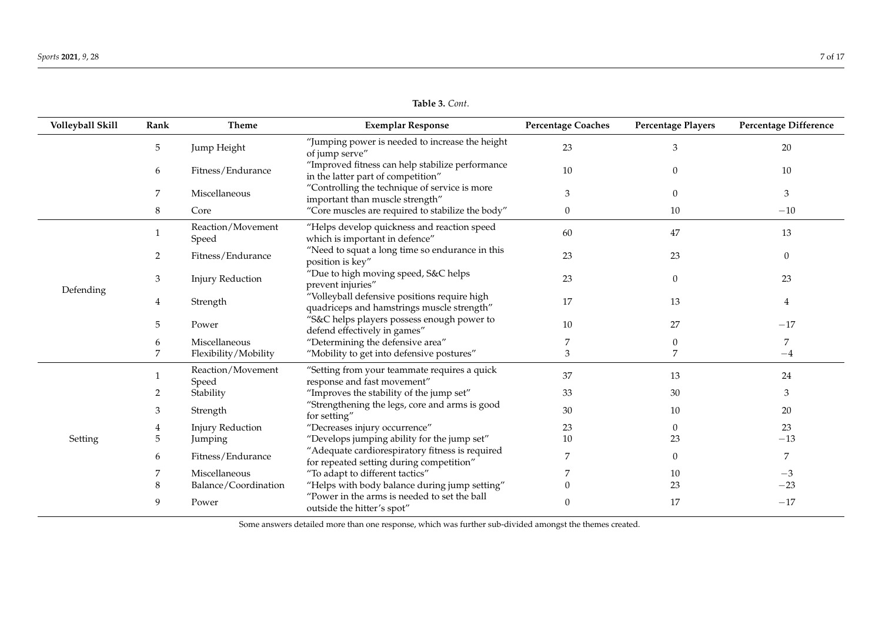**Table 3.** *Cont*.

<span id="page-8-0"></span>

| Volleyball Skill | Rank | Theme                      | <b>Exemplar Response</b>                                                                    | <b>Percentage Coaches</b> | <b>Percentage Players</b> | <b>Percentage Difference</b> |
|------------------|------|----------------------------|---------------------------------------------------------------------------------------------|---------------------------|---------------------------|------------------------------|
|                  | 5    | Jump Height                | "Jumping power is needed to increase the height<br>of jump serve"                           | 23                        | 3                         | 20                           |
|                  | 6    | Fitness/Endurance          | "Improved fitness can help stabilize performance<br>in the latter part of competition"      | 10                        | $\theta$                  | 10                           |
|                  | 7    | Miscellaneous              | "Controlling the technique of service is more<br>important than muscle strength"            | 3                         | $\overline{0}$            | 3                            |
|                  | 8    | Core                       | "Core muscles are required to stabilize the body"                                           | $\mathbf{0}$              | 10                        | $-10$                        |
|                  |      | Reaction/Movement<br>Speed | "Helps develop quickness and reaction speed<br>which is important in defence"               | 60                        | 47                        | 13                           |
|                  | 2    | Fitness/Endurance          | "Need to squat a long time so endurance in this<br>position is key"                         | 23                        | 23                        | $\boldsymbol{0}$             |
|                  | 3    | <b>Injury Reduction</b>    | "Due to high moving speed, S&C helps<br>prevent injuries"                                   | 23                        | $\mathbf{0}$              | 23                           |
| Defending        | 4    | Strength                   | "Volleyball defensive positions require high<br>quadriceps and hamstrings muscle strength"  | 17                        | 13                        | 4                            |
|                  | 5    | Power                      | "S&C helps players possess enough power to<br>defend effectively in games"                  | 10                        | 27                        | $-17$                        |
|                  | 6    | Miscellaneous              | "Determining the defensive area"                                                            |                           | 0                         | 7                            |
|                  | 7    | Flexibility/Mobility       | "Mobility to get into defensive postures"                                                   | 3                         | 7                         | $-4$                         |
|                  |      | Reaction/Movement<br>Speed | "Setting from your teammate requires a quick<br>response and fast movement"                 | 37                        | 13                        | 24                           |
|                  | 2    | Stability                  | "Improves the stability of the jump set"                                                    | 33                        | 30                        | 3                            |
|                  | 3    | Strength                   | "Strengthening the legs, core and arms is good<br>for setting"                              | 30                        | 10                        | 20                           |
|                  |      | <b>Injury Reduction</b>    | "Decreases injury occurrence"                                                               | 23                        | $\mathbf{0}$              | 23                           |
| Setting          | 5    | Jumping                    | "Develops jumping ability for the jump set"                                                 | 10                        | 23                        | $-13$                        |
|                  | 6    | Fitness/Endurance          | "Adequate cardiorespiratory fitness is required<br>for repeated setting during competition" | $\overline{7}$            | $\overline{0}$            | 7                            |
|                  | 7    | Miscellaneous              | "To adapt to different tactics"                                                             |                           | 10                        | $-3$                         |
|                  | 8    | Balance/Coordination       | "Helps with body balance during jump setting"                                               |                           | 23                        | $-23$                        |
|                  | 9    | Power                      | "Power in the arms is needed to set the ball<br>outside the hitter's spot"                  | $\Omega$                  | 17                        | $-17$                        |

Some answers detailed more than one response, which was further sub-divided amongst the themes created.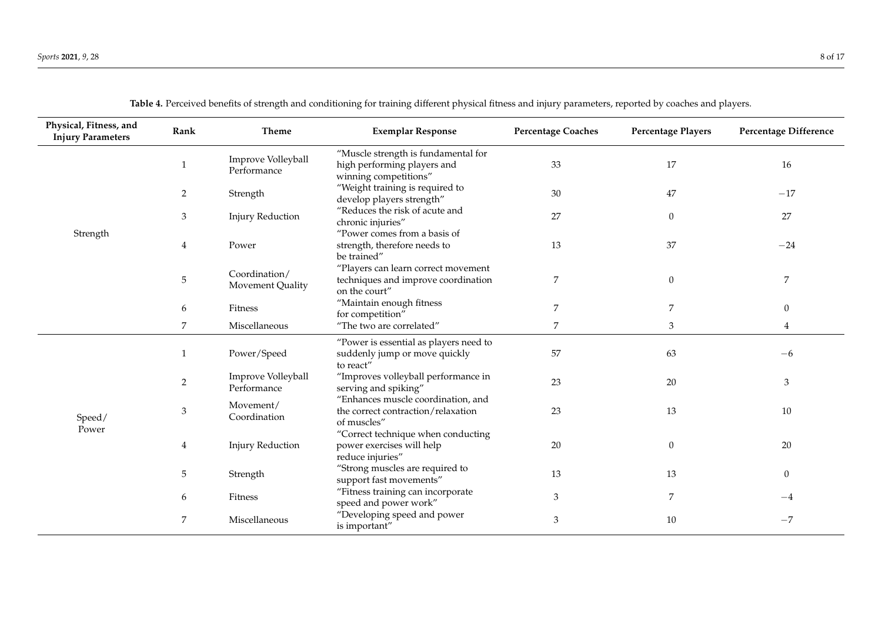| Physical, Fitness, and<br><b>Injury Parameters</b> | Rank           | Theme                             | <b>Exemplar Response</b>                                                                    | <b>Percentage Coaches</b> | <b>Percentage Players</b> | Percentage Difference |
|----------------------------------------------------|----------------|-----------------------------------|---------------------------------------------------------------------------------------------|---------------------------|---------------------------|-----------------------|
|                                                    | $\overline{1}$ | Improve Volleyball<br>Performance | "Muscle strength is fundamental for<br>high performing players and<br>winning competitions" | 33                        | 17                        | 16                    |
|                                                    | 2              | Strength                          | "Weight training is required to<br>develop players strength"                                | 30                        | 47                        | $-17$                 |
|                                                    | 3              | <b>Injury Reduction</b>           | "Reduces the risk of acute and<br>chronic injuries"                                         | 27                        | $\mathbf{0}$              | 27                    |
| Strength                                           | 4              | Power                             | "Power comes from a basis of<br>strength, therefore needs to<br>be trained"                 | 13                        | 37                        | $-24$                 |
|                                                    | 5              | Coordination/<br>Movement Quality | "Players can learn correct movement<br>techniques and improve coordination<br>on the court" | 7                         | $\Omega$                  | 7                     |
|                                                    | 6              | Fitness                           | "Maintain enough fitness<br>for competition"                                                | 7                         | 7                         | $\overline{0}$        |
|                                                    | 7              | Miscellaneous                     | "The two are correlated"                                                                    | $\overline{7}$            | 3                         | $\overline{4}$        |
|                                                    | -1             | Power/Speed                       | "Power is essential as players need to<br>suddenly jump or move quickly<br>to react"        | 57                        | 63                        | $-6$                  |
|                                                    | $\overline{2}$ | Improve Volleyball<br>Performance | "Improves volleyball performance in<br>serving and spiking"                                 | 23                        | 20                        | 3                     |
| Speed/                                             | 3              | Movement/<br>Coordination         | "Enhances muscle coordination, and<br>the correct contraction/relaxation<br>of muscles"     | 23                        | 13                        | 10                    |
| Power                                              | $\overline{4}$ | <b>Injury Reduction</b>           | "Correct technique when conducting<br>power exercises will help<br>reduce injuries"         | 20                        | $\theta$                  | 20                    |
|                                                    | 5              | Strength                          | "Strong muscles are required to<br>support fast movements"                                  | 13                        | 13                        | $\overline{0}$        |
|                                                    | 6              | Fitness                           | "Fitness training can incorporate<br>speed and power work"                                  | $\mathfrak{Z}$            | 7                         | $-4$                  |
|                                                    | 7              | Miscellaneous                     | "Developing speed and power<br>is important"                                                | 3                         | 10                        | $-7$                  |

**Table 4.** Perceived benefits of strength and conditioning for training different physical fitness and injury parameters, reported by coaches and players.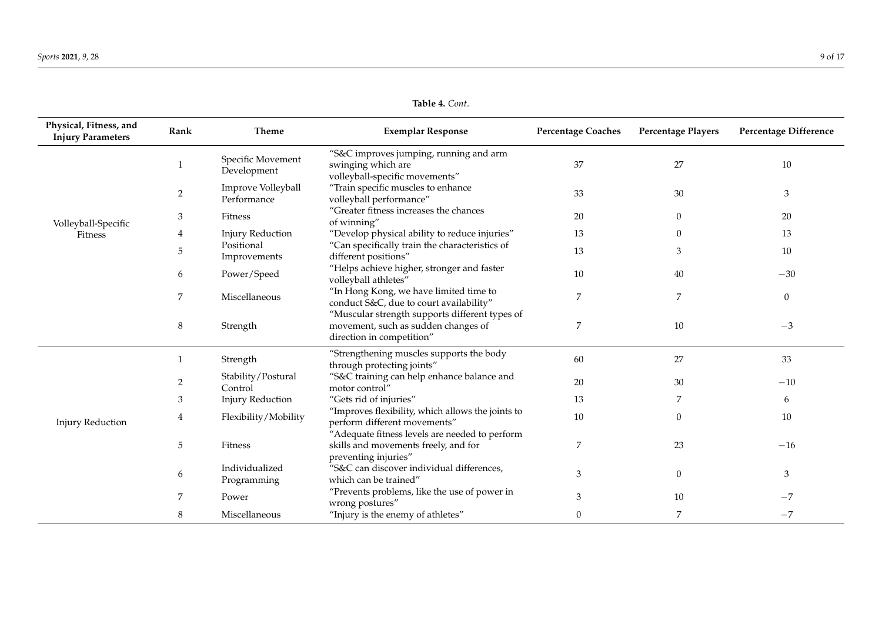**Table 4.** *Cont*.

| Physical, Fitness, and<br><b>Injury Parameters</b> | Rank           | <b>Theme</b>                      | <b>Exemplar Response</b>                                                                                           | <b>Percentage Coaches</b> | <b>Percentage Players</b> | Percentage Difference |
|----------------------------------------------------|----------------|-----------------------------------|--------------------------------------------------------------------------------------------------------------------|---------------------------|---------------------------|-----------------------|
|                                                    |                | Specific Movement<br>Development  | "S&C improves jumping, running and arm<br>swinging which are<br>volleyball-specific movements"                     | 37                        | 27                        | 10                    |
|                                                    | $\overline{2}$ | Improve Volleyball<br>Performance | "Train specific muscles to enhance<br>volleyball performance"                                                      | 33                        | 30                        | $\mathfrak{Z}$        |
| Volleyball-Specific                                | 3              | Fitness                           | "Greater fitness increases the chances<br>of winning"                                                              | 20                        | $\mathbf{0}$              | 20                    |
| Fitness                                            | 4              | <b>Injury Reduction</b>           | "Develop physical ability to reduce injuries"                                                                      | 13                        | $\Omega$                  | 13                    |
|                                                    | 5              | Positional<br>Improvements        | "Can specifically train the characteristics of<br>different positions"                                             | 13                        | 3                         | 10                    |
|                                                    | 6              | Power/Speed                       | "Helps achieve higher, stronger and faster<br>volleyball athletes"                                                 | $10\,$                    | 40                        | $-30$                 |
|                                                    | 7              | Miscellaneous                     | "In Hong Kong, we have limited time to<br>conduct S&C, due to court availability"                                  | 7                         | 7                         | $\mathbf{0}$          |
|                                                    | 8              | Strength                          | "Muscular strength supports different types of<br>movement, such as sudden changes of<br>direction in competition" | 7                         | 10                        | $-3$                  |
|                                                    | $\mathbf{1}$   | Strength                          | "Strengthening muscles supports the body<br>through protecting joints"                                             | 60                        | 27                        | 33                    |
|                                                    | 2              | Stability/Postural<br>Control     | "S&C training can help enhance balance and<br>motor control"                                                       | 20                        | 30                        | $-10$                 |
|                                                    | 3              | <b>Injury Reduction</b>           | "Gets rid of injuries"                                                                                             | 13                        | 7                         | 6                     |
| <b>Injury Reduction</b>                            | 4              | Flexibility/Mobility              | "Improves flexibility, which allows the joints to<br>perform different movements"                                  | 10                        | $\theta$                  | 10                    |
|                                                    | 5              | Fitness                           | "Adequate fitness levels are needed to perform<br>skills and movements freely, and for<br>preventing injuries"     | 7                         | 23                        | $-16$                 |
|                                                    | 6              | Individualized<br>Programming     | "S&C can discover individual differences,<br>which can be trained"                                                 | 3                         | $\boldsymbol{0}$          | 3                     |
|                                                    | 7              | Power                             | "Prevents problems, like the use of power in<br>wrong postures"                                                    | 3                         | 10                        | $-7$                  |
|                                                    | 8              | Miscellaneous                     | "Injury is the enemy of athletes"                                                                                  | $\theta$                  | 7                         | $-7$                  |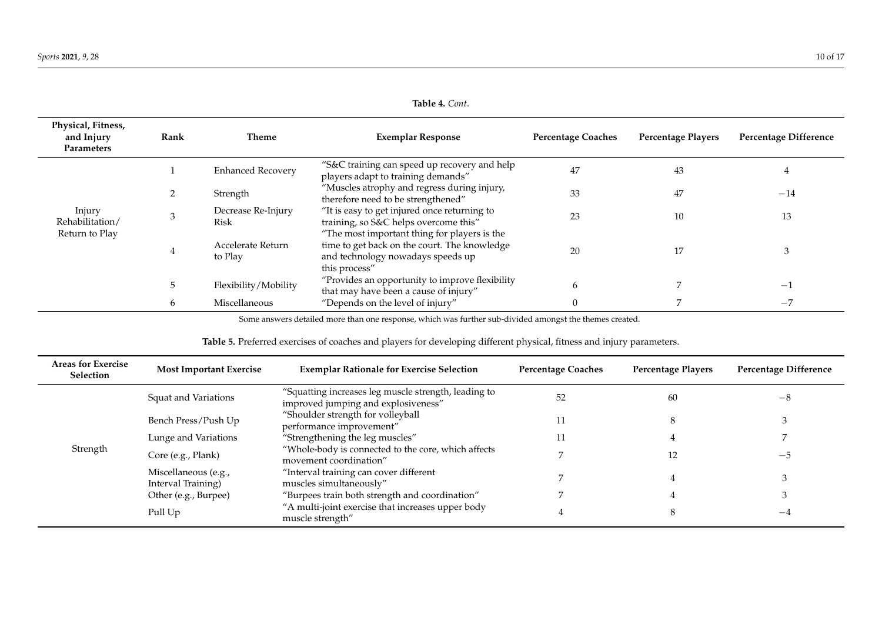| Physical, Fitness,<br>and Injury<br>Parameters | Rank | Theme                        | <b>Exemplar Response</b>                                                                                                                           | <b>Percentage Coaches</b> | <b>Percentage Players</b> | Percentage Difference |
|------------------------------------------------|------|------------------------------|----------------------------------------------------------------------------------------------------------------------------------------------------|---------------------------|---------------------------|-----------------------|
|                                                |      | <b>Enhanced Recovery</b>     | "S&C training can speed up recovery and help<br>players adapt to training demands"                                                                 | 47                        | 43                        | $\pm$                 |
|                                                | 2    | Strength                     | "Muscles atrophy and regress during injury,<br>therefore need to be strengthened"                                                                  | 33                        | 47                        | $-14$                 |
| Injury<br>Rehabilitation/                      | 3    | Decrease Re-Injury<br>Risk   | "It is easy to get injured once returning to<br>training, so S&C helps overcome this"                                                              | 23                        | 10                        | 13                    |
| Return to Play                                 | 4    | Accelerate Return<br>to Play | "The most important thing for players is the<br>time to get back on the court. The knowledge<br>and technology nowadays speeds up<br>this process" | 20                        | 17                        |                       |
|                                                | 5    | Flexibility/Mobility         | "Provides an opportunity to improve flexibility<br>that may have been a cause of injury"                                                           | <sub>b</sub>              |                           | $^{-1}$               |
|                                                | 6    | Miscellaneous                | "Depends on the level of injury"                                                                                                                   | $\Omega$                  |                           | $-7$                  |

**Table 4.** *Cont*.

Some answers detailed more than one response, which was further sub-divided amongst the themes created.

| Table 5. Preferred exercises of coaches and players for developing different physical, fitness and injury parameters. |  |  |  |
|-----------------------------------------------------------------------------------------------------------------------|--|--|--|
|-----------------------------------------------------------------------------------------------------------------------|--|--|--|

<span id="page-11-0"></span>

| <b>Areas for Exercise</b><br>Selection | <b>Most Important Exercise</b>             | <b>Exemplar Rationale for Exercise Selection</b>                                            | <b>Percentage Coaches</b> | <b>Percentage Players</b> | <b>Percentage Difference</b> |
|----------------------------------------|--------------------------------------------|---------------------------------------------------------------------------------------------|---------------------------|---------------------------|------------------------------|
|                                        | Squat and Variations                       | "Squatting increases leg muscle strength, leading to<br>improved jumping and explosiveness" | 52                        | 60                        | $-8$                         |
|                                        | Bench Press/Push Up                        | "Shoulder strength for volleyball<br>performance improvement"                               |                           |                           |                              |
|                                        | Lunge and Variations                       | "Strengthening the leg muscles"                                                             | 11                        |                           |                              |
| Strength                               | Core (e.g., Plank)                         | "Whole-body is connected to the core, which affects<br>movement coordination"               |                           |                           | -5                           |
|                                        | Miscellaneous (e.g.,<br>Interval Training) | "Interval training can cover different<br>muscles simultaneously"                           |                           |                           |                              |
|                                        | Other (e.g., Burpee)                       | "Burpees train both strength and coordination"                                              |                           |                           |                              |
|                                        | Pull Up                                    | "A multi-joint exercise that increases upper body<br>muscle strength"                       |                           |                           | $-4$                         |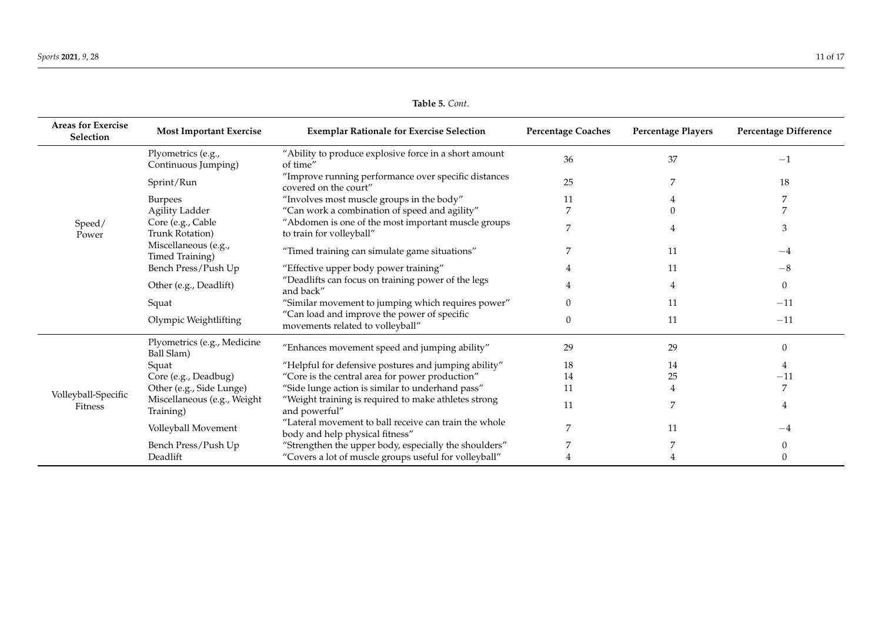**Table 5.** *Cont*.

| <b>Areas for Exercise</b><br>Selection | <b>Most Important Exercise</b>            | <b>Exemplar Rationale for Exercise Selection</b>                                         | <b>Percentage Coaches</b> | <b>Percentage Players</b> | <b>Percentage Difference</b> |
|----------------------------------------|-------------------------------------------|------------------------------------------------------------------------------------------|---------------------------|---------------------------|------------------------------|
|                                        | Plyometrics (e.g.,<br>Continuous Jumping) | "Ability to produce explosive force in a short amount<br>of time"                        | 36                        | 37                        | $-1$                         |
|                                        | Sprint/Run                                | "Improve running performance over specific distances<br>covered on the court"            | 25                        | 7                         | 18                           |
|                                        | <b>Burpees</b>                            | "Involves most muscle groups in the body"                                                | 11                        |                           |                              |
|                                        | <b>Agility Ladder</b>                     | "Can work a combination of speed and agility"                                            |                           |                           |                              |
| Speed/<br>Power                        | Core (e.g., Cable<br>Trunk Rotation)      | "Abdomen is one of the most important muscle groups<br>to train for volleyball"          | 7                         |                           | 3                            |
|                                        | Miscellaneous (e.g.,<br>Timed Training)   | "Timed training can simulate game situations"                                            |                           | 11                        | $-4$                         |
|                                        | Bench Press/Push Up                       | "Effective upper body power training"                                                    |                           | 11                        | $-8$                         |
|                                        | Other (e.g., Deadlift)                    | "Deadlifts can focus on training power of the legs<br>and back"                          |                           |                           | $\mathbf{0}$                 |
|                                        | Squat                                     | "Similar movement to jumping which requires power"                                       | $\Omega$                  | 11                        | $-11$                        |
|                                        | Olympic Weightlifting                     | "Can load and improve the power of specific<br>movements related to volleyball"          | $\Omega$                  | 11                        | $-11$                        |
|                                        | Plyometrics (e.g., Medicine<br>Ball Slam) | "Enhances movement speed and jumping ability"                                            | 29                        | 29                        | 0                            |
|                                        | Squat                                     | "Helpful for defensive postures and jumping ability"                                     | 18                        | 14                        | 4                            |
|                                        | Core (e.g., Deadbug)                      | "Core is the central area for power production"                                          | 14                        | 25                        | $-11$                        |
| Volleyball-Specific                    | Other (e.g., Side Lunge)                  | "Side lunge action is similar to underhand pass"                                         | 11                        |                           |                              |
| Fitness                                | Miscellaneous (e.g., Weight<br>Training)  | "Weight training is required to make athletes strong<br>and powerful"                    | 11                        | 7                         | 4                            |
|                                        | Volleyball Movement                       | "Lateral movement to ball receive can train the whole<br>body and help physical fitness" | 7                         | 11                        | $-4$                         |
|                                        | Bench Press/Push Up                       | "Strengthen the upper body, especially the shoulders"                                    |                           |                           | 0                            |
|                                        | Deadlift                                  | "Covers a lot of muscle groups useful for volleyball"                                    |                           |                           | $\theta$                     |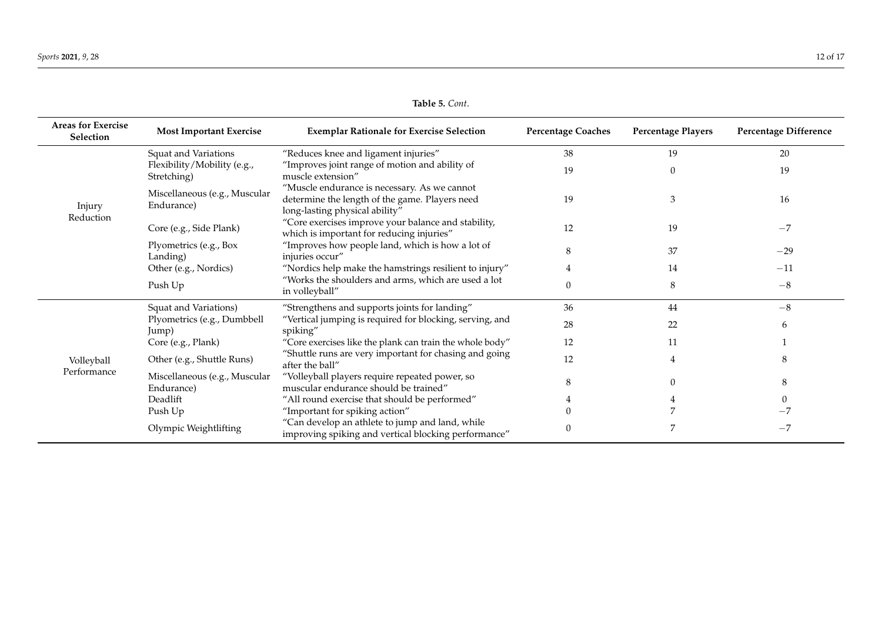**Table 5.** *Cont*.

<span id="page-13-0"></span>

| <b>Areas for Exercise</b><br>Selection | <b>Most Important Exercise</b>              | <b>Exemplar Rationale for Exercise Selection</b>                                                                                 | <b>Percentage Coaches</b> | <b>Percentage Players</b> | <b>Percentage Difference</b> |
|----------------------------------------|---------------------------------------------|----------------------------------------------------------------------------------------------------------------------------------|---------------------------|---------------------------|------------------------------|
|                                        | <b>Squat and Variations</b>                 | "Reduces knee and ligament injuries"                                                                                             | 38                        | 19                        | 20                           |
|                                        | Flexibility/Mobility (e.g.,<br>Stretching)  | "Improves joint range of motion and ability of<br>muscle extension"                                                              | 19                        | $\theta$                  | 19                           |
| Injury<br>Reduction                    | Miscellaneous (e.g., Muscular<br>Endurance) | "Muscle endurance is necessary. As we cannot<br>determine the length of the game. Players need<br>long-lasting physical ability" | 19                        | 3                         | 16                           |
|                                        | Core (e.g., Side Plank)                     | "Core exercises improve your balance and stability,<br>which is important for reducing injuries"                                 | 12                        | 19                        | $-7$                         |
|                                        | Plyometrics (e.g., Box<br>Landing)          | "Improves how people land, which is how a lot of<br>injuries occur"                                                              | 8                         | 37                        | $-29$                        |
|                                        | Other (e.g., Nordics)                       | "Nordics help make the hamstrings resilient to injury"                                                                           |                           | 14                        | $-11$                        |
|                                        | Push Up                                     | "Works the shoulders and arms, which are used a lot<br>in volleyball"                                                            | $\Omega$                  | 8                         | $-8$                         |
|                                        | Squat and Variations)                       | "Strengthens and supports joints for landing"                                                                                    | 36                        | 44                        | $-8$                         |
|                                        | Plyometrics (e.g., Dumbbell<br>Jump)        | "Vertical jumping is required for blocking, serving, and<br>spiking"                                                             | 28                        | 22                        | 6                            |
|                                        | Core (e.g., Plank)                          | "Core exercises like the plank can train the whole body"                                                                         | 12                        | 11                        |                              |
| Volleyball                             | Other (e.g., Shuttle Runs)                  | "Shuttle runs are very important for chasing and going<br>after the ball"                                                        | 12                        | $\overline{4}$            | 8                            |
| Performance                            | Miscellaneous (e.g., Muscular<br>Endurance) | "Volleyball players require repeated power, so<br>muscular endurance should be trained"                                          |                           | $\Omega$                  | 8                            |
|                                        | Deadlift                                    | "All round exercise that should be performed"                                                                                    |                           |                           |                              |
|                                        | Push Up                                     | "Important for spiking action"                                                                                                   |                           |                           |                              |
|                                        | Olympic Weightlifting                       | "Can develop an athlete to jump and land, while<br>improving spiking and vertical blocking performance"                          |                           |                           | $-7$                         |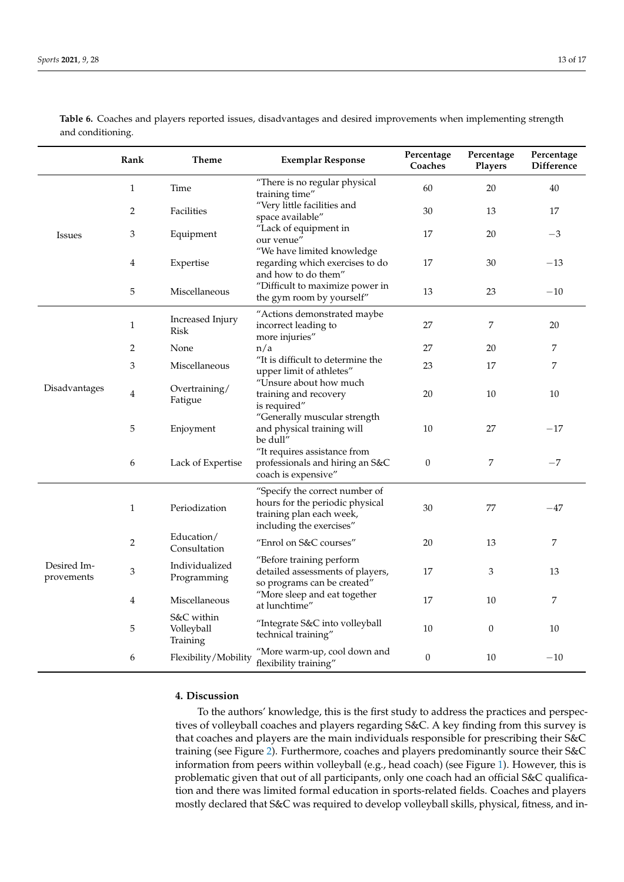|                           | Rank           | Theme                                | <b>Exemplar Response</b>                                                                                                  | Percentage<br>Coaches | Percentage<br>Players | Percentage<br>Difference |
|---------------------------|----------------|--------------------------------------|---------------------------------------------------------------------------------------------------------------------------|-----------------------|-----------------------|--------------------------|
| <b>Issues</b>             | $\mathbf{1}$   | Time                                 | "There is no regular physical<br>training time"                                                                           | 60                    | 20                    | 40                       |
|                           | 2              | Facilities                           | "Very little facilities and<br>space available"                                                                           | 30                    | 13                    | 17                       |
|                           | 3              | Equipment                            | "Lack of equipment in<br>our venue"                                                                                       | 17                    | 20                    | $^{-3}$                  |
|                           | 4              | Expertise                            | "We have limited knowledge<br>regarding which exercises to do<br>and how to do them"                                      | 17                    | 30                    | $-13$                    |
|                           | 5              | Miscellaneous                        | "Difficult to maximize power in<br>the gym room by yourself"                                                              | 13                    | 23                    | $-10$                    |
| Disadvantages             | $\mathbf{1}$   | Increased Injury<br><b>Risk</b>      | "Actions demonstrated maybe<br>incorrect leading to<br>more injuries"                                                     | 27                    | 7                     | 20                       |
|                           | 2              | None                                 | n/a                                                                                                                       | 27                    | 20                    | 7                        |
|                           | 3              | Miscellaneous                        | "It is difficult to determine the<br>upper limit of athletes"                                                             | 23                    | 17                    | 7                        |
|                           | 4              | Overtraining/<br>Fatigue             | "Unsure about how much<br>training and recovery<br>is required"                                                           | 20                    | 10                    | 10                       |
|                           | 5              | Enjoyment                            | "Generally muscular strength<br>and physical training will<br>be dull"                                                    | 10                    | 27                    | $-17$                    |
|                           | 6              | Lack of Expertise                    | "It requires assistance from<br>professionals and hiring an S&C<br>coach is expensive"                                    | $\boldsymbol{0}$      | 7                     | $-7$                     |
| Desired Im-<br>provements | $\mathbf{1}$   | Periodization                        | "Specify the correct number of<br>hours for the periodic physical<br>training plan each week,<br>including the exercises" | 30                    | 77                    | $-47$                    |
|                           | $\overline{c}$ | Education/<br>Consultation           | "Enrol on S&C courses"                                                                                                    | 20                    | 13                    | 7                        |
|                           | 3              | Individualized<br>Programming        | "Before training perform<br>detailed assessments of players,<br>so programs can be created"                               | 17                    | 3                     | 13                       |
|                           | 4              | Miscellaneous                        | "More sleep and eat together<br>at lunchtime"                                                                             | 17                    | 10                    | 7                        |
|                           | 5              | S&C within<br>Volleyball<br>Training | "Integrate S&C into volleyball<br>technical training"                                                                     | 10                    | $\boldsymbol{0}$      | 10                       |
|                           | 6              | Flexibility/Mobility                 | "More warm-up, cool down and<br>flexibility training"                                                                     | $\boldsymbol{0}$      | 10                    | $-10$                    |

<span id="page-14-0"></span>**Table 6.** Coaches and players reported issues, disadvantages and desired improvements when implementing strength and conditioning.

## **4. Discussion**

To the authors' knowledge, this is the first study to address the practices and perspectives of volleyball coaches and players regarding S&C. A key finding from this survey is that coaches and players are the main individuals responsible for prescribing their S&C training (see Figure [2\)](#page-5-1). Furthermore, coaches and players predominantly source their S&C information from peers within volleyball (e.g., head coach) (see Figure [1\)](#page-5-0). However, this is problematic given that out of all participants, only one coach had an official S&C qualification and there was limited formal education in sports-related fields. Coaches and players mostly declared that S&C was required to develop volleyball skills, physical, fitness, and in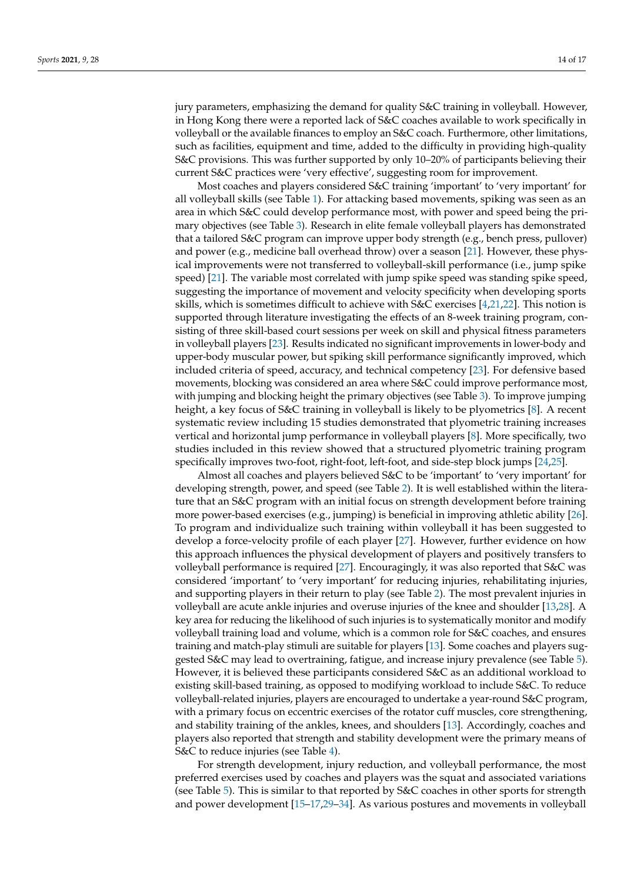jury parameters, emphasizing the demand for quality S&C training in volleyball. However, in Hong Kong there were a reported lack of S&C coaches available to work specifically in volleyball or the available finances to employ an S&C coach. Furthermore, other limitations, such as facilities, equipment and time, added to the difficulty in providing high-quality S&C provisions. This was further supported by only 10–20% of participants believing their current S&C practices were 'very effective', suggesting room for improvement.

Most coaches and players considered S&C training 'important' to 'very important' for all volleyball skills (see Table [1\)](#page-6-0). For attacking based movements, spiking was seen as an area in which S&C could develop performance most, with power and speed being the primary objectives (see Table [3\)](#page-8-0). Research in elite female volleyball players has demonstrated that a tailored S&C program can improve upper body strength (e.g., bench press, pullover) and power (e.g., medicine ball overhead throw) over a season [\[21\]](#page-18-4). However, these physical improvements were not transferred to volleyball-skill performance (i.e., jump spike speed) [\[21\]](#page-18-4). The variable most correlated with jump spike speed was standing spike speed, suggesting the importance of movement and velocity specificity when developing sports skills, which is sometimes difficult to achieve with S&C exercises [\[4,](#page-17-3)[21,](#page-18-4)[22\]](#page-18-5). This notion is supported through literature investigating the effects of an 8-week training program, consisting of three skill-based court sessions per week on skill and physical fitness parameters in volleyball players [\[23\]](#page-18-6). Results indicated no significant improvements in lower-body and upper-body muscular power, but spiking skill performance significantly improved, which included criteria of speed, accuracy, and technical competency [\[23\]](#page-18-6). For defensive based movements, blocking was considered an area where S&C could improve performance most, with jumping and blocking height the primary objectives (see Table [3\)](#page-8-0). To improve jumping height, a key focus of S&C training in volleyball is likely to be plyometrics [\[8\]](#page-17-6). A recent systematic review including 15 studies demonstrated that plyometric training increases vertical and horizontal jump performance in volleyball players [\[8\]](#page-17-6). More specifically, two studies included in this review showed that a structured plyometric training program specifically improves two-foot, right-foot, left-foot, and side-step block jumps [\[24](#page-18-7)[,25\]](#page-18-8).

Almost all coaches and players believed S&C to be 'important' to 'very important' for developing strength, power, and speed (see Table [2\)](#page-6-1). It is well established within the literature that an S&C program with an initial focus on strength development before training more power-based exercises (e.g., jumping) is beneficial in improving athletic ability [\[26\]](#page-18-9). To program and individualize such training within volleyball it has been suggested to develop a force-velocity profile of each player [\[27\]](#page-18-10). However, further evidence on how this approach influences the physical development of players and positively transfers to volleyball performance is required [\[27\]](#page-18-10). Encouragingly, it was also reported that S&C was considered 'important' to 'very important' for reducing injuries, rehabilitating injuries, and supporting players in their return to play (see Table [2\)](#page-6-1). The most prevalent injuries in volleyball are acute ankle injuries and overuse injuries of the knee and shoulder [\[13,](#page-17-10)[28\]](#page-18-11). A key area for reducing the likelihood of such injuries is to systematically monitor and modify volleyball training load and volume, which is a common role for S&C coaches, and ensures training and match-play stimuli are suitable for players [\[13\]](#page-17-10). Some coaches and players suggested S&C may lead to overtraining, fatigue, and increase injury prevalence (see Table [5\)](#page-13-0). However, it is believed these participants considered S&C as an additional workload to existing skill-based training, as opposed to modifying workload to include S&C. To reduce volleyball-related injuries, players are encouraged to undertake a year-round S&C program, with a primary focus on eccentric exercises of the rotator cuff muscles, core strengthening, and stability training of the ankles, knees, and shoulders [\[13\]](#page-17-10). Accordingly, coaches and players also reported that strength and stability development were the primary means of S&C to reduce injuries (see Table [4\)](#page-11-0).

For strength development, injury reduction, and volleyball performance, the most preferred exercises used by coaches and players was the squat and associated variations (see Table [5\)](#page-13-0). This is similar to that reported by S&C coaches in other sports for strength and power development [\[15–](#page-17-13)[17](#page-18-0)[,29](#page-18-12)[–34\]](#page-18-13). As various postures and movements in volleyball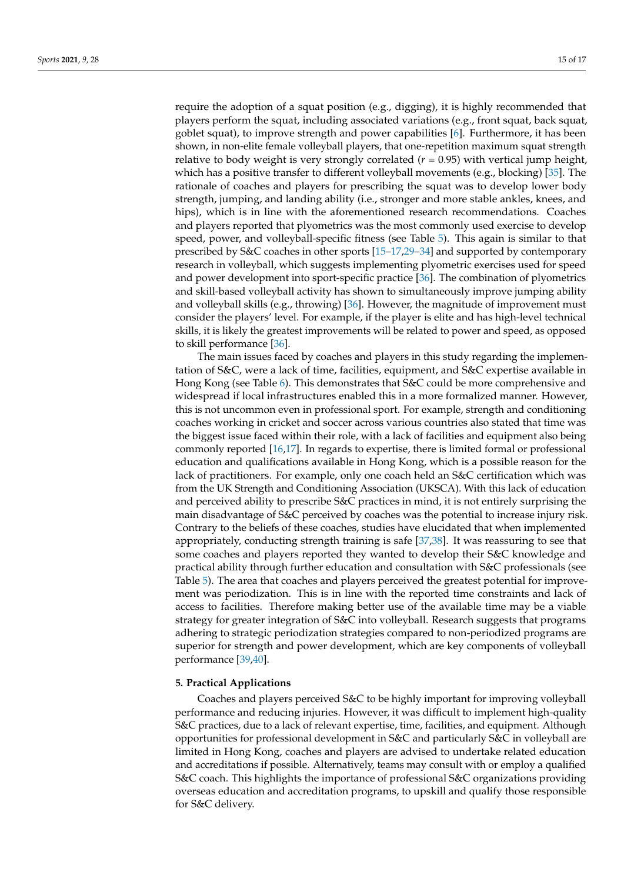require the adoption of a squat position (e.g., digging), it is highly recommended that players perform the squat, including associated variations (e.g., front squat, back squat, goblet squat), to improve strength and power capabilities [\[6\]](#page-17-5). Furthermore, it has been shown, in non-elite female volleyball players, that one-repetition maximum squat strength relative to body weight is very strongly correlated  $(r = 0.95)$  with vertical jump height, which has a positive transfer to different volleyball movements (e.g., blocking) [\[35\]](#page-18-14). The rationale of coaches and players for prescribing the squat was to develop lower body strength, jumping, and landing ability (i.e., stronger and more stable ankles, knees, and hips), which is in line with the aforementioned research recommendations. Coaches and players reported that plyometrics was the most commonly used exercise to develop speed, power, and volleyball-specific fitness (see Table [5\)](#page-13-0). This again is similar to that prescribed by S&C coaches in other sports [\[15](#page-17-13)[–17,](#page-18-0)[29–](#page-18-12)[34\]](#page-18-13) and supported by contemporary research in volleyball, which suggests implementing plyometric exercises used for speed and power development into sport-specific practice [\[36\]](#page-18-15). The combination of plyometrics and skill-based volleyball activity has shown to simultaneously improve jumping ability and volleyball skills (e.g., throwing) [\[36\]](#page-18-15). However, the magnitude of improvement must consider the players' level. For example, if the player is elite and has high-level technical skills, it is likely the greatest improvements will be related to power and speed, as opposed to skill performance [\[36\]](#page-18-15).

The main issues faced by coaches and players in this study regarding the implementation of S&C, were a lack of time, facilities, equipment, and S&C expertise available in Hong Kong (see Table [6\)](#page-14-0). This demonstrates that S&C could be more comprehensive and widespread if local infrastructures enabled this in a more formalized manner. However, this is not uncommon even in professional sport. For example, strength and conditioning coaches working in cricket and soccer across various countries also stated that time was the biggest issue faced within their role, with a lack of facilities and equipment also being commonly reported [\[16,](#page-18-16)[17\]](#page-18-0). In regards to expertise, there is limited formal or professional education and qualifications available in Hong Kong, which is a possible reason for the lack of practitioners. For example, only one coach held an S&C certification which was from the UK Strength and Conditioning Association (UKSCA). With this lack of education and perceived ability to prescribe S&C practices in mind, it is not entirely surprising the main disadvantage of S&C perceived by coaches was the potential to increase injury risk. Contrary to the beliefs of these coaches, studies have elucidated that when implemented appropriately, conducting strength training is safe [\[37](#page-18-17)[,38\]](#page-18-18). It was reassuring to see that some coaches and players reported they wanted to develop their S&C knowledge and practical ability through further education and consultation with S&C professionals (see Table [5\)](#page-13-0). The area that coaches and players perceived the greatest potential for improvement was periodization. This is in line with the reported time constraints and lack of access to facilities. Therefore making better use of the available time may be a viable strategy for greater integration of S&C into volleyball. Research suggests that programs adhering to strategic periodization strategies compared to non-periodized programs are superior for strength and power development, which are key components of volleyball performance [\[39](#page-18-19)[,40\]](#page-18-20).

#### **5. Practical Applications**

Coaches and players perceived S&C to be highly important for improving volleyball performance and reducing injuries. However, it was difficult to implement high-quality S&C practices, due to a lack of relevant expertise, time, facilities, and equipment. Although opportunities for professional development in S&C and particularly S&C in volleyball are limited in Hong Kong, coaches and players are advised to undertake related education and accreditations if possible. Alternatively, teams may consult with or employ a qualified S&C coach. This highlights the importance of professional S&C organizations providing overseas education and accreditation programs, to upskill and qualify those responsible for S&C delivery.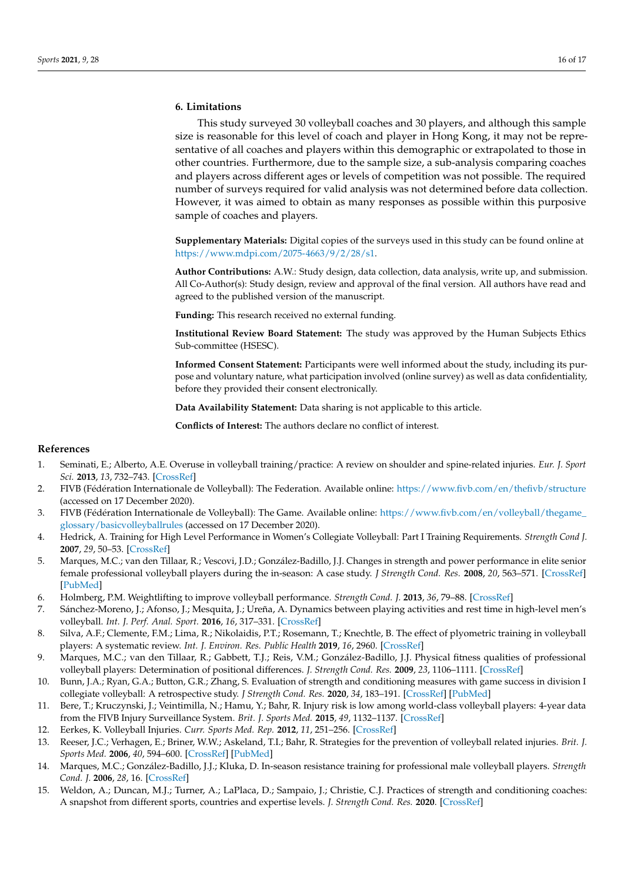## **6. Limitations**

This study surveyed 30 volleyball coaches and 30 players, and although this sample size is reasonable for this level of coach and player in Hong Kong, it may not be representative of all coaches and players within this demographic or extrapolated to those in other countries. Furthermore, due to the sample size, a sub-analysis comparing coaches and players across different ages or levels of competition was not possible. The required number of surveys required for valid analysis was not determined before data collection. However, it was aimed to obtain as many responses as possible within this purposive sample of coaches and players.

**Supplementary Materials:** Digital copies of the surveys used in this study can be found online at [https://www.mdpi.com/2075-4663/9/2/28/s1.](https://www.mdpi.com/2075-4663/9/2/28/s1)

**Author Contributions:** A.W.: Study design, data collection, data analysis, write up, and submission. All Co-Author(s): Study design, review and approval of the final version. All authors have read and agreed to the published version of the manuscript.

**Funding:** This research received no external funding.

**Institutional Review Board Statement:** The study was approved by the Human Subjects Ethics Sub-committee (HSESC).

**Informed Consent Statement:** Participants were well informed about the study, including its purpose and voluntary nature, what participation involved (online survey) as well as data confidentiality, before they provided their consent electronically.

**Data Availability Statement:** Data sharing is not applicable to this article.

**Conflicts of Interest:** The authors declare no conflict of interest.

## **References**

- <span id="page-17-0"></span>1. Seminati, E.; Alberto, A.E. Overuse in volleyball training/practice: A review on shoulder and spine-related injuries. *Eur. J. Sport Sci.* **2013**, *13*, 732–743. [\[CrossRef\]](http://doi.org/10.1080/17461391.2013.773090)
- <span id="page-17-1"></span>2. FIVB (Fédération Internationale de Volleyball): The Federation. Available online: <https://www.fivb.com/en/thefivb/structure> (accessed on 17 December 2020).
- <span id="page-17-2"></span>3. FIVB (Fédération Internationale de Volleyball): The Game. Available online: [https://www.fivb.com/en/volleyball/thegame\\_](https://www.fivb.com/en/volleyball/thegame_glossary/basicvolleyballrules) [glossary/basicvolleyballrules](https://www.fivb.com/en/volleyball/thegame_glossary/basicvolleyballrules) (accessed on 17 December 2020).
- <span id="page-17-3"></span>4. Hedrick, A. Training for High Level Performance in Women's Collegiate Volleyball: Part I Training Requirements. *Strength Cond J.* **2007**, *29*, 50–53. [\[CrossRef\]](http://doi.org/10.1519/1533-4295(2007)29[50:TFHLPI]2.0.CO;2)
- <span id="page-17-4"></span>5. Marques, M.C.; van den Tillaar, R.; Vescovi, J.D.; González-Badillo, J.J. Changes in strength and power performance in elite senior female professional volleyball players during the in-season: A case study. *J Strength Cond. Res.* **2008**, *20*, 563–571. [\[CrossRef\]](http://doi.org/10.1519/JSC.0b013e31816a42d0) [\[PubMed\]](http://www.ncbi.nlm.nih.gov/pubmed/18545195)
- <span id="page-17-5"></span>6. Holmberg, P.M. Weightlifting to improve volleyball performance. *Strength Cond. J.* **2013**, *36*, 79–88. [\[CrossRef\]](http://doi.org/10.1519/SSC.0b013e3182889f47)
- 7. Sánchez-Moreno, J.; Afonso, J.; Mesquita, J.; Ureña, A. Dynamics between playing activities and rest time in high-level men's volleyball. *Int. J. Perf. Anal. Sport.* **2016**, *16*, 317–331. [\[CrossRef\]](http://doi.org/10.1080/24748668.2016.11868889)
- <span id="page-17-6"></span>8. Silva, A.F.; Clemente, F.M.; Lima, R.; Nikolaidis, P.T.; Rosemann, T.; Knechtle, B. The effect of plyometric training in volleyball players: A systematic review. *Int. J. Environ. Res. Public Health* **2019**, *16*, 2960. [\[CrossRef\]](http://doi.org/10.3390/ijerph16162960)
- <span id="page-17-7"></span>9. Marques, M.C.; van den Tillaar, R.; Gabbett, T.J.; Reis, V.M.; González-Badillo, J.J. Physical fitness qualities of professional volleyball players: Determination of positional differences. *J. Strength Cond. Res.* **2009**, *23*, 1106–1111. [\[CrossRef\]](http://doi.org/10.1519/JSC.0b013e31819b78c4)
- <span id="page-17-8"></span>10. Bunn, J.A.; Ryan, G.A.; Button, G.R.; Zhang, S. Evaluation of strength and conditioning measures with game success in division I collegiate volleyball: A retrospective study. *J Strength Cond. Res.* **2020**, *34*, 183–191. [\[CrossRef\]](http://doi.org/10.1519/JSC.0000000000002181) [\[PubMed\]](http://www.ncbi.nlm.nih.gov/pubmed/28796124)
- <span id="page-17-9"></span>11. Bere, T.; Kruczynski, J.; Veintimilla, N.; Hamu, Y.; Bahr, R. Injury risk is low among world-class volleyball players: 4-year data from the FIVB Injury Surveillance System. *Brit. J. Sports Med.* **2015**, *49*, 1132–1137. [\[CrossRef\]](http://doi.org/10.1136/bjsports-2015-094959)
- <span id="page-17-11"></span>12. Eerkes, K. Volleyball Injuries. *Curr. Sports Med. Rep.* **2012**, *11*, 251–256. [\[CrossRef\]](http://doi.org/10.1249/JSR.0b013e3182699037)
- <span id="page-17-10"></span>13. Reeser, J.C.; Verhagen, E.; Briner, W.W.; Askeland, T.I.; Bahr, R. Strategies for the prevention of volleyball related injuries. *Brit. J. Sports Med.* **2006**, *40*, 594–600. [\[CrossRef\]](http://doi.org/10.1136/bjsm.2005.018234) [\[PubMed\]](http://www.ncbi.nlm.nih.gov/pubmed/16799111)
- <span id="page-17-12"></span>14. Marques, M.C.; González-Badillo, J.J.; Kluka, D. In-season resistance training for professional male volleyball players. *Strength Cond. J.* **2006**, *28*, 16. [\[CrossRef\]](http://doi.org/10.1519/00126548-200612000-00002)
- <span id="page-17-13"></span>15. Weldon, A.; Duncan, M.J.; Turner, A.; LaPlaca, D.; Sampaio, J.; Christie, C.J. Practices of strength and conditioning coaches: A snapshot from different sports, countries and expertise levels. *J. Strength Cond. Res.* **2020**. [\[CrossRef\]](http://doi.org/10.1519/JSC.0000000000003773)